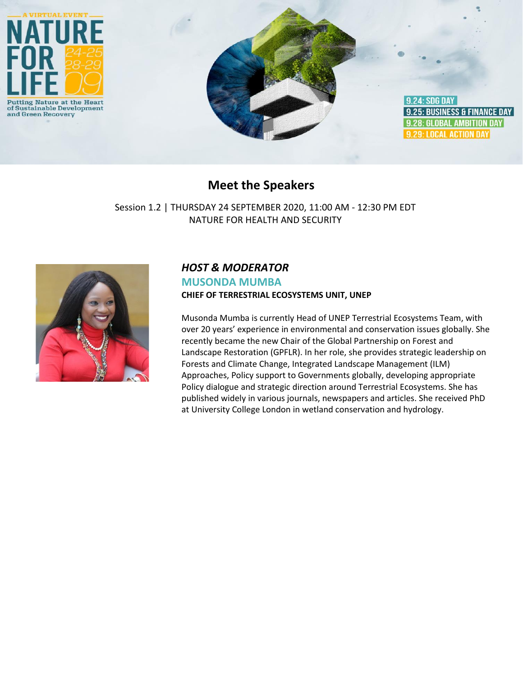

## **Meet the Speakers**

Session 1.2 | THURSDAY 24 SEPTEMBER 2020, 11:00 AM - 12:30 PM EDT NATURE FOR HEALTH AND SECURITY



## *HOST & MODERATOR*

#### **MUSONDA MUMBA CHIEF OF TERRESTRIAL ECOSYSTEMS UNIT, UNEP**

Musonda Mumba is currently Head of UNEP Terrestrial Ecosystems Team, with over 20 years' experience in environmental and conservation issues globally. She recently became the new Chair of the Global Partnership on Forest and Landscape Restoration (GPFLR). In her role, she provides strategic leadership on Forests and Climate Change, Integrated Landscape Management (ILM) Approaches, Policy support to Governments globally, developing appropriate Policy dialogue and strategic direction around Terrestrial Ecosystems. She has published widely in various journals, newspapers and articles. She received PhD at University College London in wetland conservation and hydrology.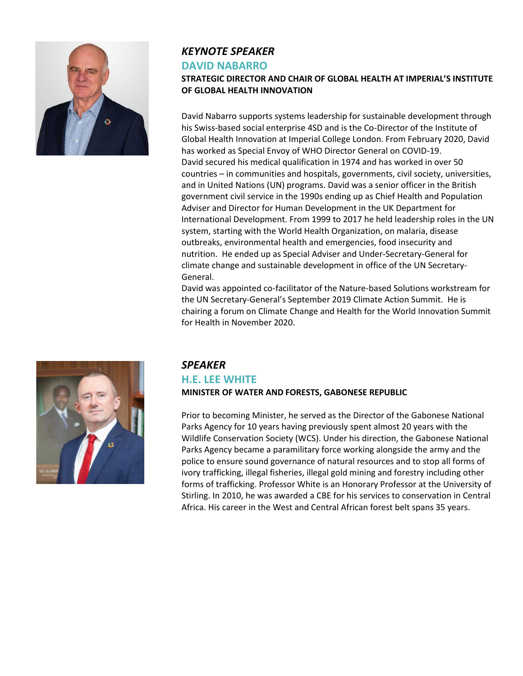

# *KEYNOTE SPEAKER*

#### **DAVID NABARRO**

#### **STRATEGIC DIRECTOR AND CHAIR OF GLOBAL HEALTH AT IMPERIAL'S INSTITUTE OF GLOBAL HEALTH INNOVATION**

David Nabarro supports systems leadership for sustainable development through his Swiss-based social enterprise 4SD and is the Co-Director of the Institute of Global Health Innovation at Imperial College London. From February 2020, David has worked as Special Envoy of WHO Director General on COVID-19. David secured his medical qualification in 1974 and has worked in over 50 countries – in communities and hospitals, governments, civil society, universities, and in United Nations (UN) programs. David was a senior officer in the British government civil service in the 1990s ending up as Chief Health and Population Adviser and Director for Human Development in the UK Department for International Development. From 1999 to 2017 he held leadership roles in the UN system, starting with the World Health Organization, on malaria, disease outbreaks, environmental health and emergencies, food insecurity and nutrition. He ended up as Special Adviser and Under-Secretary-General for climate change and sustainable development in office of the UN Secretary-General.

David was appointed co-facilitator of the Nature-based Solutions workstream for the UN Secretary-General's September 2019 Climate Action Summit. He is chairing a forum on Climate Change and Health for the World Innovation Summit for Health in November 2020.



## *SPEAKER*

## **H.E. LEE WHITE**

**MINISTER OF WATER AND FORESTS, GABONESE REPUBLIC**

Prior to becoming Minister, he served as the Director of the Gabonese National Parks Agency for 10 years having previously spent almost 20 years with the Wildlife Conservation Society (WCS). Under his direction, the Gabonese National Parks Agency became a paramilitary force working alongside the army and the police to ensure sound governance of natural resources and to stop all forms of ivory trafficking, illegal fisheries, illegal gold mining and forestry including other forms of trafficking. Professor White is an Honorary Professor at the University of Stirling. In 2010, he was awarded a CBE for his services to conservation in Central Africa. His career in the West and Central African forest belt spans 35 years.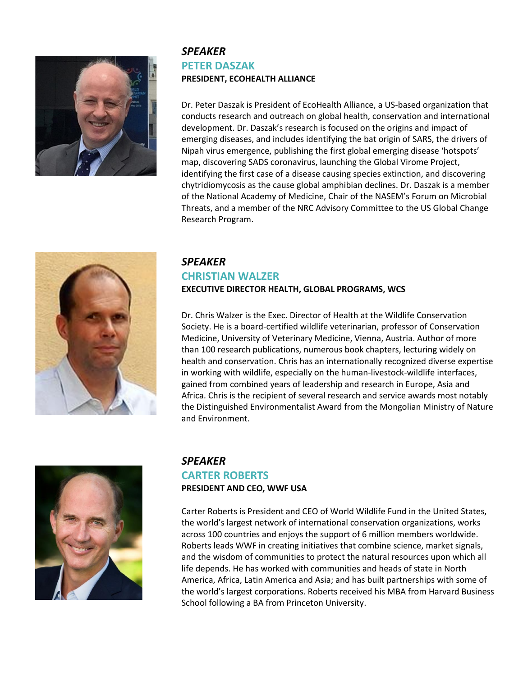

## *SPEAKER* **PETER DASZAK PRESIDENT, ECOHEALTH ALLIANCE**

Dr. Peter Daszak is President of EcoHealth Alliance, a US-based organization that conducts research and outreach on global health, conservation and international development. Dr. Daszak's research is focused on the origins and impact of emerging diseases, and includes identifying the bat origin of SARS, the drivers of Nipah virus emergence, publishing the first global emerging disease 'hotspots' map, discovering SADS coronavirus, launching the Global Virome Project, identifying the first case of a disease causing species extinction, and discovering chytridiomycosis as the cause global amphibian declines. Dr. Daszak is a member of the National Academy of Medicine, Chair of the NASEM's Forum on Microbial Threats, and a member of the NRC Advisory Committee to the US Global Change Research Program.



## *SPEAKER* **CHRISTIAN WALZER EXECUTIVE DIRECTOR HEALTH, GLOBAL PROGRAMS, WCS**

Dr. Chris Walzer is the Exec. Director of Health at the Wildlife Conservation Society. He is a board-certified wildlife veterinarian, professor of Conservation Medicine, University of Veterinary Medicine, Vienna, Austria. Author of more than 100 research publications, numerous book chapters, lecturing widely on health and conservation. Chris has an internationally recognized diverse expertise in working with wildlife, especially on the human-livestock-wildlife interfaces, gained from combined years of leadership and research in Europe, Asia and Africa. Chris is the recipient of several research and service awards most notably the Distinguished Environmentalist Award from the Mongolian Ministry of Nature and Environment.



## *SPEAKER*

#### **CARTER ROBERTS PRESIDENT AND CEO, WWF USA**

Carter Roberts is President and CEO of World Wildlife Fund in the United States, the world's largest network of international conservation organizations, works across 100 countries and enjoys the support of 6 million members worldwide. Roberts leads WWF in creating initiatives that combine science, market signals, and the wisdom of communities to protect the natural resources upon which all life depends. He has worked with communities and heads of state in North America, Africa, Latin America and Asia; and has built partnerships with some of the world's largest corporations. Roberts received his MBA from Harvard Business School following a BA from Princeton University.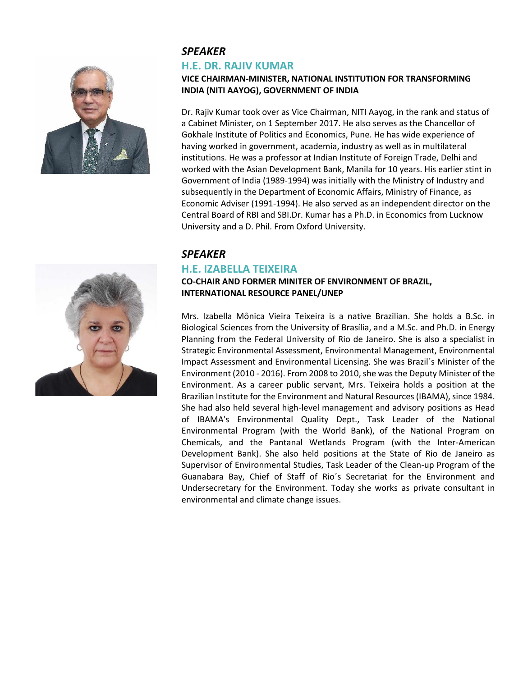

## *SPEAKER*

#### **H.E. DR. RAJIV KUMAR**

#### **VICE CHAIRMAN-MINISTER, NATIONAL INSTITUTION FOR TRANSFORMING INDIA (NITI AAYOG), GOVERNMENT OF INDIA**

Dr. Rajiv Kumar took over as Vice Chairman, NITI Aayog, in the rank and status of a Cabinet Minister, on 1 September 2017. He also serves as the Chancellor of Gokhale Institute of Politics and Economics, Pune. He has wide experience of having worked in government, academia, industry as well as in multilateral institutions. He was a professor at Indian Institute of Foreign Trade, Delhi and worked with the Asian Development Bank, Manila for 10 years. His earlier stint in Government of India (1989-1994) was initially with the Ministry of Industry and subsequently in the Department of Economic Affairs, Ministry of Finance, as Economic Adviser (1991-1994). He also served as an independent director on the Central Board of RBI and SBI.Dr. Kumar has a Ph.D. in Economics from Lucknow University and a D. Phil. From Oxford University.

#### *SPEAKER*

## **H.E. IZABELLA TEIXEIRA**

#### **CO-CHAIR AND FORMER MINITER OF ENVIRONMENT OF BRAZIL, INTERNATIONAL RESOURCE PANEL/UNEP**

Mrs. Izabella Mônica Vieira Teixeira is a native Brazilian. She holds a B.Sc. in Biological Sciences from the University of Brasília, and a M.Sc. and Ph.D. in Energy Planning from the Federal University of Rio de Janeiro. She is also a specialist in Strategic Environmental Assessment, Environmental Management, Environmental Impact Assessment and Environmental Licensing. She was Brazil´s Minister of the Environment (2010 - 2016). From 2008 to 2010, she was the Deputy Minister of the Environment. As a career public servant, Mrs. Teixeira holds a position at the Brazilian Institute for the Environment and Natural Resources (IBAMA), since 1984. She had also held several high-level management and advisory positions as Head of IBAMA's Environmental Quality Dept., Task Leader of the National Environmental Program (with the World Bank), of the National Program on Chemicals, and the Pantanal Wetlands Program (with the Inter-American Development Bank). She also held positions at the State of Rio de Janeiro as Supervisor of Environmental Studies, Task Leader of the Clean-up Program of the Guanabara Bay, Chief of Staff of Rio´s Secretariat for the Environment and Undersecretary for the Environment. Today she works as private consultant in environmental and climate change issues.

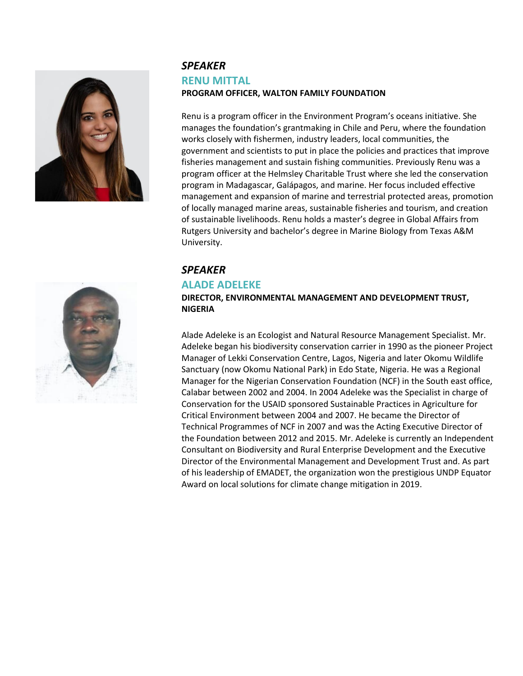

## *SPEAKER* **RENU MITTAL PROGRAM OFFICER, WALTON FAMILY FOUNDATION**

Renu is a program officer in the Environment Program's oceans initiative. She manages the foundation's grantmaking in Chile and Peru, where the foundation works closely with fishermen, industry leaders, local communities, the government and scientists to put in place the policies and practices that improve fisheries management and sustain fishing communities. Previously Renu was a program officer at the Helmsley Charitable Trust where she led the conservation program in Madagascar, Galápagos, and marine. Her focus included effective management and expansion of marine and terrestrial protected areas, promotion of locally managed marine areas, sustainable fisheries and tourism, and creation of sustainable livelihoods. Renu holds a master's degree in Global Affairs from Rutgers University and bachelor's degree in Marine Biology from Texas A&M University.

## *SPEAKER*

#### **ALADE ADELEKE**

**DIRECTOR, ENVIRONMENTAL MANAGEMENT AND DEVELOPMENT TRUST, NIGERIA** 

Alade Adeleke is an Ecologist and Natural Resource Management Specialist. Mr. Adeleke began his biodiversity conservation carrier in 1990 as the pioneer Project Manager of Lekki Conservation Centre, Lagos, Nigeria and later Okomu Wildlife Sanctuary (now Okomu National Park) in Edo State, Nigeria. He was a Regional Manager for the Nigerian Conservation Foundation (NCF) in the South east office, Calabar between 2002 and 2004. In 2004 Adeleke was the Specialist in charge of Conservation for the USAID sponsored Sustainable Practices in Agriculture for Critical Environment between 2004 and 2007. He became the Director of Technical Programmes of NCF in 2007 and was the Acting Executive Director of the Foundation between 2012 and 2015. Mr. Adeleke is currently an Independent Consultant on Biodiversity and Rural Enterprise Development and the Executive Director of the Environmental Management and Development Trust and. As part of his leadership of EMADET, the organization won the prestigious UNDP Equator Award on local solutions for climate change mitigation in 2019.

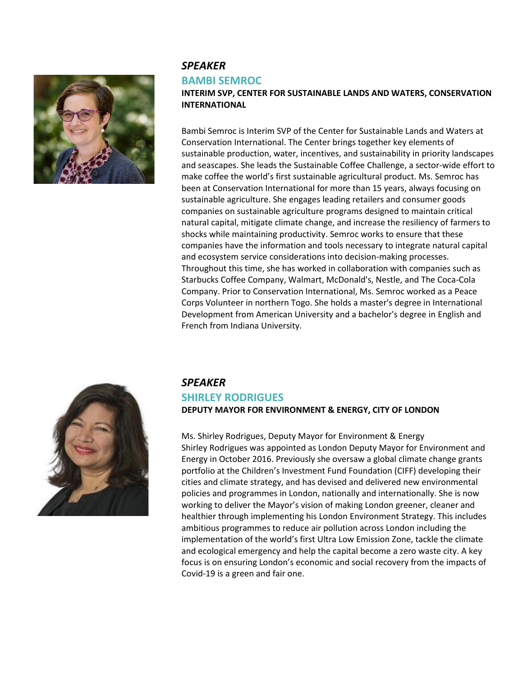

## *SPEAKER*

#### **BAMBI SEMROC**

**INTERIM SVP, CENTER FOR SUSTAINABLE LANDS AND WATERS, CONSERVATION INTERNATIONAL**

Bambi Semroc is Interim SVP of the Center for Sustainable Lands and Waters at Conservation International. The Center brings together key elements of sustainable production, water, incentives, and sustainability in priority landscapes and seascapes. She leads the Sustainable Coffee Challenge, a sector-wide effort to make coffee the world's first sustainable agricultural product. Ms. Semroc has been at Conservation International for more than 15 years, always focusing on sustainable agriculture. She engages leading retailers and consumer goods companies on sustainable agriculture programs designed to maintain critical natural capital, mitigate climate change, and increase the resiliency of farmers to shocks while maintaining productivity. Semroc works to ensure that these companies have the information and tools necessary to integrate natural capital and ecosystem service considerations into decision-making processes. Throughout this time, she has worked in collaboration with companies such as Starbucks Coffee Company, Walmart, McDonald's, Nestle, and The Coca-Cola Company. Prior to Conservation International, Ms. Semroc worked as a Peace Corps Volunteer in northern Togo. She holds a master's degree in International Development from American University and a bachelor's degree in English and French from Indiana University.



#### *SPEAKER*

# **SHIRLEY RODRIGUES**

**DEPUTY MAYOR FOR ENVIRONMENT & ENERGY, CITY OF LONDON**

Ms. Shirley Rodrigues, Deputy Mayor for Environment & Energy Shirley Rodrigues was appointed as London Deputy Mayor for Environment and Energy in October 2016. Previously she oversaw a global climate change grants portfolio at the Children's Investment Fund Foundation (CIFF) developing their cities and climate strategy, and has devised and delivered new environmental policies and programmes in London, nationally and internationally. She is now working to deliver the Mayor's vision of making London greener, cleaner and healthier through implementing his London Environment Strategy. This includes ambitious programmes to reduce air pollution across London including the implementation of the world's first Ultra Low Emission Zone, tackle the climate and ecological emergency and help the capital become a zero waste city. A key focus is on ensuring London's economic and social recovery from the impacts of Covid-19 is a green and fair one.